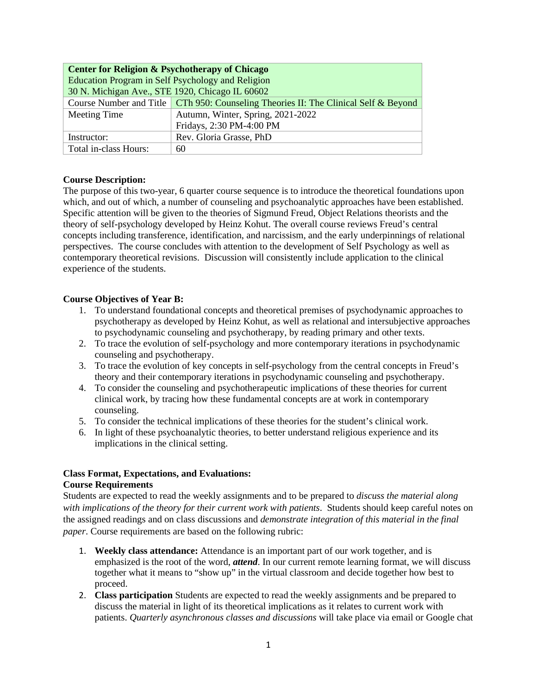| <b>Center for Religion &amp; Psychotherapy of Chicago</b>                           |                                   |  |
|-------------------------------------------------------------------------------------|-----------------------------------|--|
| Education Program in Self Psychology and Religion                                   |                                   |  |
| 30 N. Michigan Ave., STE 1920, Chicago IL 60602                                     |                                   |  |
| Course Number and Title CTh 950: Counseling Theories II: The Clinical Self & Beyond |                                   |  |
| Meeting Time                                                                        | Autumn, Winter, Spring, 2021-2022 |  |
|                                                                                     | Fridays, 2:30 PM-4:00 PM          |  |
| Instructor:                                                                         | Rev. Gloria Grasse, PhD           |  |
| Total in-class Hours:                                                               | 60                                |  |

## **Course Description:**

The purpose of this two-year, 6 quarter course sequence is to introduce the theoretical foundations upon which, and out of which, a number of counseling and psychoanalytic approaches have been established. Specific attention will be given to the theories of Sigmund Freud, Object Relations theorists and the theory of self-psychology developed by Heinz Kohut. The overall course reviews Freud's central concepts including transference, identification, and narcissism, and the early underpinnings of relational perspectives. The course concludes with attention to the development of Self Psychology as well as contemporary theoretical revisions. Discussion will consistently include application to the clinical experience of the students.

### **Course Objectives of Year B:**

- 1. To understand foundational concepts and theoretical premises of psychodynamic approaches to psychotherapy as developed by Heinz Kohut, as well as relational and intersubjective approaches to psychodynamic counseling and psychotherapy, by reading primary and other texts.
- 2. To trace the evolution of self-psychology and more contemporary iterations in psychodynamic counseling and psychotherapy.
- 3. To trace the evolution of key concepts in self-psychology from the central concepts in Freud's theory and their contemporary iterations in psychodynamic counseling and psychotherapy.
- 4. To consider the counseling and psychotherapeutic implications of these theories for current clinical work, by tracing how these fundamental concepts are at work in contemporary counseling.
- 5. To consider the technical implications of these theories for the student's clinical work.
- 6. In light of these psychoanalytic theories, to better understand religious experience and its implications in the clinical setting.

## **Class Format, Expectations, and Evaluations: Course Requirements**

Students are expected to read the weekly assignments and to be prepared to *discuss the material along with implications of the theory for their current work with patients*. Students should keep careful notes on the assigned readings and on class discussions and *demonstrate integration of this material in the final paper*. Course requirements are based on the following rubric:

- 1. **Weekly class attendance:** Attendance is an important part of our work together, and is emphasized is the root of the word, *attend*. In our current remote learning format, we will discuss together what it means to "show up" in the virtual classroom and decide together how best to proceed.
- 2. **Class participation** Students are expected to read the weekly assignments and be prepared to discuss the material in light of its theoretical implications as it relates to current work with patients. *Quarterly asynchronous classes and discussions* will take place via email or Google chat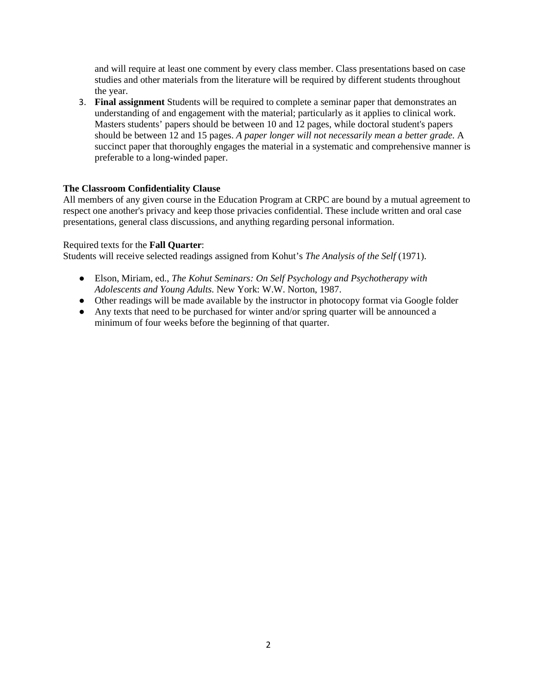and will require at least one comment by every class member. Class presentations based on case studies and other materials from the literature will be required by different students throughout the year.

3. **Final assignment** Students will be required to complete a seminar paper that demonstrates an understanding of and engagement with the material; particularly as it applies to clinical work. Masters students' papers should be between 10 and 12 pages, while doctoral student's papers should be between 12 and 15 pages. *A paper longer will not necessarily mean a better grade.* A succinct paper that thoroughly engages the material in a systematic and comprehensive manner is preferable to a long-winded paper.

## **The Classroom Confidentiality Clause**

All members of any given course in the Education Program at CRPC are bound by a mutual agreement to respect one another's privacy and keep those privacies confidential. These include written and oral case presentations, general class discussions, and anything regarding personal information.

# Required texts for the **Fall Quarter**:

Students will receive selected readings assigned from Kohut's *The Analysis of the Self* (1971).

- Elson, Miriam, ed., *The Kohut Seminars: On Self Psychology and Psychotherapy with Adolescents and Young Adults.* New York: W.W. Norton, 1987.
- Other readings will be made available by the instructor in photocopy format via Google folder
- Any texts that need to be purchased for winter and/or spring quarter will be announced a minimum of four weeks before the beginning of that quarter.